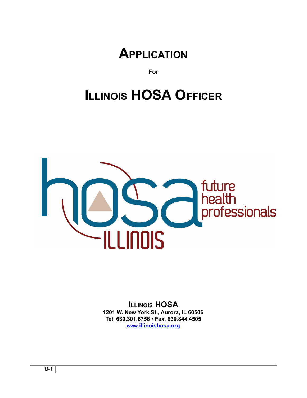

**For**

# **ILLINOIS HOSA OFFICER**



**ILLINOIS HOSA 1201 W. New York St., Aurora, IL 60506 Tel. 630.301.6756 • Fax. 630.844.4505 WWW[.illinoishosa.org](http://www.illinoishosa.org)**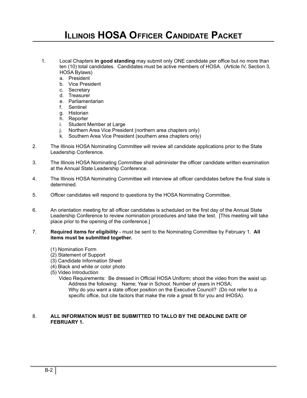# **ILLINOIS HOSA OFFICER CANDIDATE PACKET**

- 1. Local Chapters **in good standing** may submit only ONE candidate per office but no more than ten (10) total candidates. Candidates must be active members of HOSA. (Article IV, Section 3, HOSA Bylaws)
	- a. President
	- b. Vice President
	- c. Secretary
	- d. Treasurer
	- e. Parliamentarian
	- f. Sentinel
	- g. Historian
	- h. Reporter
	- i. Student Member at Large
	- j. Northern Area Vice President (northern area chapters only)
	- k. Southern Area Vice President (southern area chapters only)
- 2. The Illinois HOSA Nominating Committee will review all candidate applications prior to the State Leadership Conference.
- 3. The Illinois HOSA Nominating Committee shall administer the officer candidate written examination at the Annual State Leadership Conference.
- 4. The Illinois HOSA Nominating Committee will interview all officer candidates before the final slate is determined.
- 5. Officer candidates will respond to questions by the HOSA Nominating Committee.
- 6. An orientation meeting for all officer candidates is scheduled on the first day of the Annual State Leadership Conference to review nomination procedures and take the test. [This meeting will take place prior to the opening of the conference.]
- 7. **Required items for eligibility** must be sent to the Nominating Committee by February 1. **All items must be submitted together.**
	- (1) Nomination Form
	- (2) Statement of Support
	- (3) Candidate Information Sheet
	- (4) Black and white or color photo
	- (5) Video Introduction
		- Video Requirements: Be dressed in Official HOSA Uniform; shoot the video from the waist up. Address the following: Name; Year in School; Number of years in HOSA; Why do you want a state officer position on the Executive Council? (Do not refer to a specific office, but cite factors that make the role a great fit for you and IHOSA).

#### 8. **ALL INFORMATION MUST BE SUBMITTED TO TALLO BY THE DEADLINE DATE OF FEBRUARY 1.**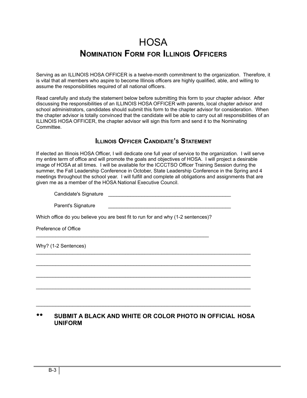### **HOSA NOMINATION FORM FOR ILLINOIS OFFICERS**

Serving as an ILLINOIS HOSA OFFICER is a twelve-month commitment to the organization. Therefore, it is vital that all members who aspire to become Illinois officers are highly qualified, able, and willing to assume the responsibilities required of all national officers.

Read carefully and study the statement below before submitting this form to your chapter advisor. After discussing the responsibilities of an ILLINOIS HOSA OFFICER with parents, local chapter advisor and school administrators, candidates should submit this form to the chapter advisor for consideration. When the chapter advisor is totally convinced that the candidate will be able to carry out all responsibilities of an ILLINOIS HOSA OFFICER, the chapter advisor will sign this form and send it to the Nominating **Committee.** 

### **ILLINOIS OFFICER CANDIDATE'S STATEMENT**

If elected an Illinois HOSA Officer, I will dedicate one full year of service to the organization. I will serve my entire term of office and will promote the goals and objectives of HOSA. I will project a desirable image of HOSA at all times. I will be available for the ICCCTSO Officer Training Session during the summer, the Fall Leadership Conference in October, State Leadership Conference in the Spring and 4 meetings throughout the school year. I will fulfill and complete all obligations and assignments that are given me as a member of the HOSA National Executive Council.

Candidate's Signature **Example 2018** 

Parent's Signature

Which office do you believe you are best fit to run for and why (1-2 sentences)?

\_\_\_\_\_\_\_\_\_\_\_\_\_\_\_\_\_\_\_\_\_\_\_\_\_\_\_\_\_\_\_\_\_\_\_\_\_\_\_\_\_\_\_\_\_\_\_\_\_\_\_\_\_\_\_\_\_\_\_\_\_\_

Preference of Office

Why? (1-2 Sentences)

#### \*\* **SUBMIT A BLACK AND WHITE OR COLOR PHOTO IN OFFICIAL HOSA UNIFORM**

 $\_$  ,  $\_$  ,  $\_$  ,  $\_$  ,  $\_$  ,  $\_$  ,  $\_$  ,  $\_$  ,  $\_$  ,  $\_$  ,  $\_$  ,  $\_$  ,  $\_$  ,  $\_$  ,  $\_$  ,  $\_$  ,  $\_$  ,  $\_$  ,  $\_$  ,  $\_$ 

 $\mathcal{L}_\text{max}$  , and the set of the set of the set of the set of the set of the set of the set of the set of the set of the set of the set of the set of the set of the set of the set of the set of the set of the set of the

 $\mathcal{L}_\text{max}$  , and the set of the set of the set of the set of the set of the set of the set of the set of the set of the set of the set of the set of the set of the set of the set of the set of the set of the set of the

 $\_$  ,  $\_$  ,  $\_$  ,  $\_$  ,  $\_$  ,  $\_$  ,  $\_$  ,  $\_$  ,  $\_$  ,  $\_$  ,  $\_$  ,  $\_$  ,  $\_$  ,  $\_$  ,  $\_$  ,  $\_$  ,  $\_$  ,  $\_$  ,  $\_$  ,  $\_$ 

 $\_$  ,  $\_$  ,  $\_$  ,  $\_$  ,  $\_$  ,  $\_$  ,  $\_$  ,  $\_$  ,  $\_$  ,  $\_$  ,  $\_$  ,  $\_$  ,  $\_$  ,  $\_$  ,  $\_$  ,  $\_$  ,  $\_$  ,  $\_$  ,  $\_$  ,  $\_$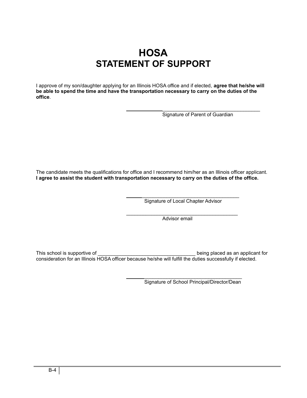### **HOSA STATEMENT OF SUPPORT**

I approve of my son/daughter applying for an Illinois HOSA office and if elected, **agree that he/she will be able to spend the time and have the transportation necessary to carry on the duties of the office**.

> \_\_\_\_\_\_\_\_\_\_\_\_\_\_\_\_\_\_\_\_\_\_\_\_\_\_\_\_\_\_\_\_\_\_\_ Signature of Parent of Guardian

The candidate meets the qualifications for office and I recommend him/her as an Illinois officer applicant. **I agree to assist the student with transportation necessary to carry on the duties of the office.**

> \_\_\_\_\_\_\_\_\_\_\_\_\_\_\_\_\_\_\_\_\_\_\_\_\_\_\_\_\_\_\_\_\_\_\_ Signature of Local Chapter Advisor

\_\_\_\_\_\_\_\_\_\_\_\_\_\_\_\_\_\_\_\_\_\_\_\_\_\_\_\_\_\_\_\_\_\_\_\_\_\_\_\_

Advisor email

This school is supportive of  $\Box$  . This school is supportive of  $\Box$ consideration for an Illinois HOSA officer because he/she will fulfill the duties successfully if elected.

> \_\_\_\_\_\_\_\_\_\_\_\_\_\_\_\_\_\_\_\_\_\_\_\_\_\_\_\_\_\_\_\_\_\_\_ Signature of School Principal/Director/Dean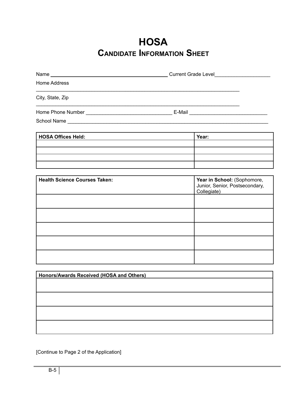### **HOSA CANDIDATE INFORMATION SHEET**

| Home Address                             |  |                                                                              |  |
|------------------------------------------|--|------------------------------------------------------------------------------|--|
| City, State, Zip                         |  |                                                                              |  |
|                                          |  |                                                                              |  |
|                                          |  |                                                                              |  |
| <b>HOSA Offices Held:</b>                |  | Year:                                                                        |  |
|                                          |  |                                                                              |  |
|                                          |  |                                                                              |  |
| <b>Health Science Courses Taken:</b>     |  | Year in School: (Sophomore,<br>Junior, Senior, Postsecondary,<br>Collegiate) |  |
|                                          |  |                                                                              |  |
|                                          |  |                                                                              |  |
|                                          |  |                                                                              |  |
|                                          |  |                                                                              |  |
|                                          |  |                                                                              |  |
| Honors/Awards Received (HOSA and Others) |  |                                                                              |  |
|                                          |  |                                                                              |  |
|                                          |  |                                                                              |  |
|                                          |  |                                                                              |  |

[Continue to Page 2 of the Application]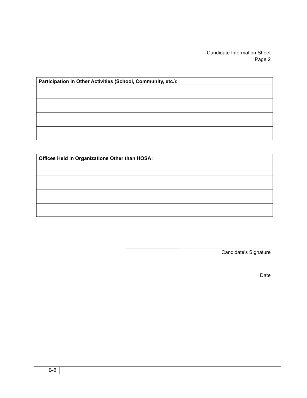Candidate Information Sheet Page 2

| Participation in Other Activities (School, Community, etc.): |  |  |  |  |
|--------------------------------------------------------------|--|--|--|--|
|                                                              |  |  |  |  |
|                                                              |  |  |  |  |
|                                                              |  |  |  |  |
|                                                              |  |  |  |  |
|                                                              |  |  |  |  |

| Offices Held in Organizations Other than HOSA: |  |
|------------------------------------------------|--|
|                                                |  |
|                                                |  |
|                                                |  |
|                                                |  |
|                                                |  |
|                                                |  |
|                                                |  |

\_\_\_\_\_\_\_\_\_\_\_\_\_\_\_\_\_\_\_\_\_\_\_\_\_\_\_\_\_\_\_\_ Candidate's Signature

\_\_\_\_\_\_\_\_\_\_\_\_\_\_\_\_\_\_\_\_\_\_\_\_\_\_\_\_\_\_\_

**Date**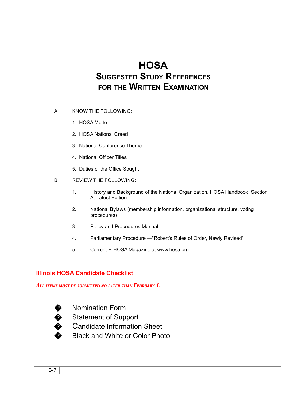## **HOSA SUGGESTED STUDY REFERENCES FOR THE WRITTEN EXAMINATION**

- A. KNOW THE FOLLOWING:
	- 1. HOSA Motto
	- 2. HOSA National Creed
	- 3. National Conference Theme
	- 4. National Officer Titles
	- 5. Duties of the Office Sought
- B. REVIEW THE FOLLOWING:
	- 1. History and Background of the National Organization, HOSA Handbook, Section A, Latest Edition.
	- 2. National Bylaws (membership information, organizational structure, voting procedures)
	- 3. Policy and Procedures Manual
	- 4. Parliamentary Procedure —"Robert's Rules of Order, Newly Revised"
	- 5. Current E-HOSA Magazine at www.hosa.org

#### **Illinois HOSA Candidate Checklist**

*ALL ITEMS MUST BE SUBMITTED NO LATER THAN FEBRUARY 1.*



� Nomination Form

Statement of Support

Candidate Information Sheet

� Black and White or Color Photo